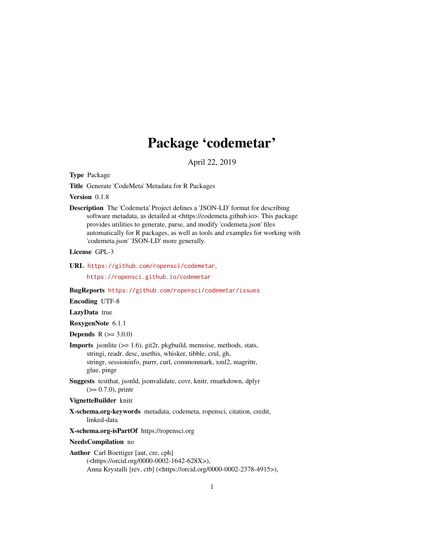## Package 'codemetar'

April 22, 2019

<span id="page-0-0"></span>Type Package

Title Generate 'CodeMeta' Metadata for R Packages

Version 0.1.8

Description The 'Codemeta' Project defines a 'JSON-LD' format for describing software metadata, as detailed at <https://codemeta.github.io>. This package provides utilities to generate, parse, and modify 'codemeta.json' files automatically for R packages, as well as tools and examples for working with 'codemeta.json' 'JSON-LD' more generally.

License GPL-3

URL <https://github.com/ropensci/codemetar>,

<https://ropensci.github.io/codemetar>

BugReports <https://github.com/ropensci/codemetar/issues>

Encoding UTF-8

LazyData true

RoxygenNote 6.1.1

**Depends**  $R (= 3.0.0)$ 

- Imports jsonlite (>= 1.6), git2r, pkgbuild, memoise, methods, stats, stringi, readr, desc, usethis, whisker, tibble, crul, gh, stringr, sessioninfo, purrr, curl, commonmark, xml2, magrittr, glue, pingr
- Suggests testthat, jsonld, jsonvalidate, covr, knitr, rmarkdown, dplyr  $(>= 0.7.0)$ , printr
- VignetteBuilder knitr
- X-schema.org-keywords metadata, codemeta, ropensci, citation, credit, linked-data
- X-schema.org-isPartOf https://ropensci.org

NeedsCompilation no

Author Carl Boettiger [aut, cre, cph] (<https://orcid.org/0000-0002-1642-628X>), Anna Krystalli [rev, ctb] (<https://orcid.org/0000-0002-2378-4915>),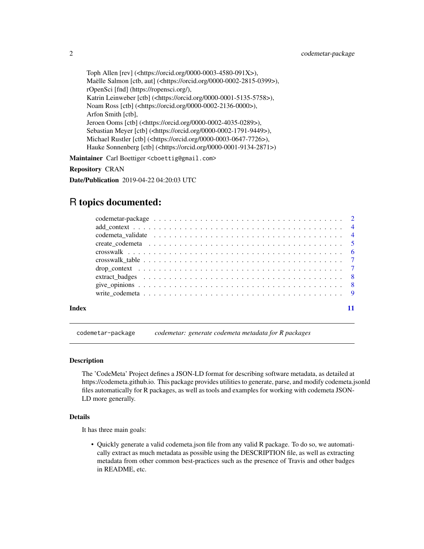<span id="page-1-0"></span>Toph Allen [rev] (<https://orcid.org/0000-0003-4580-091X>), Maëlle Salmon [ctb, aut] (<https://orcid.org/0000-0002-2815-0399>), rOpenSci [fnd] (https://ropensci.org/), Katrin Leinweber [ctb] (<https://orcid.org/0000-0001-5135-5758>), Noam Ross [ctb] (<https://orcid.org/0000-0002-2136-0000>), Arfon Smith [ctb], Jeroen Ooms [ctb] (<https://orcid.org/0000-0002-4035-0289>), Sebastian Meyer [ctb] (<https://orcid.org/0000-0002-1791-9449>), Michael Rustler [ctb] (<https://orcid.org/0000-0003-0647-7726>), Hauke Sonnenberg [ctb] (<https://orcid.org/0000-0001-9134-2871>)

Maintainer Carl Boettiger <cboettig@gmail.com>

Repository CRAN

Date/Publication 2019-04-22 04:20:03 UTC

### R topics documented:

| Index |  |
|-------|--|

codemetar-package *codemetar: generate codemeta metadata for R packages*

#### **Description**

The 'CodeMeta' Project defines a JSON-LD format for describing software metadata, as detailed at https://codemeta.github.io. This package provides utilities to generate, parse, and modify codemeta.jsonld files automatically for R packages, as well as tools and examples for working with codemeta JSON-LD more generally.

#### Details

It has three main goals:

• Quickly generate a valid codemeta.json file from any valid R package. To do so, we automatically extract as much metadata as possible using the DESCRIPTION file, as well as extracting metadata from other common best-practices such as the presence of Travis and other badges in README, etc.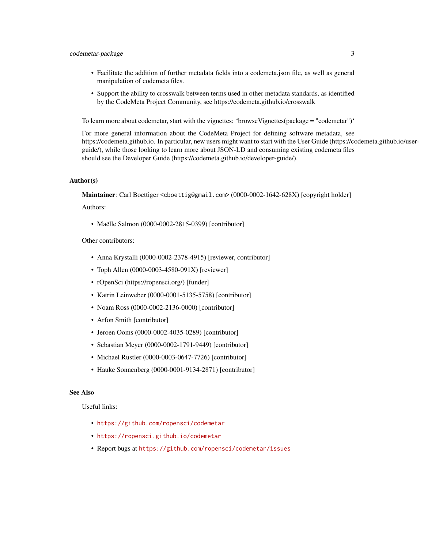#### codemetar-package 3

- Facilitate the addition of further metadata fields into a codemeta.json file, as well as general manipulation of codemeta files.
- Support the ability to crosswalk between terms used in other metadata standards, as identified by the CodeMeta Project Community, see https://codemeta.github.io/crosswalk

To learn more about codemetar, start with the vignettes: 'browseVignettes(package = "codemetar")'

For more general information about the CodeMeta Project for defining software metadata, see https://codemeta.github.io. In particular, new users might want to start with the User Guide (https://codemeta.github.io/userguide/), while those looking to learn more about JSON-LD and consuming existing codemeta files should see the Developer Guide (https://codemeta.github.io/developer-guide/).

#### Author(s)

Maintainer: Carl Boettiger <cboettig@gmail.com> (0000-0002-1642-628X) [copyright holder]

Authors:

• Maëlle Salmon (0000-0002-2815-0399) [contributor]

Other contributors:

- Anna Krystalli (0000-0002-2378-4915) [reviewer, contributor]
- Toph Allen (0000-0003-4580-091X) [reviewer]
- rOpenSci (https://ropensci.org/) [funder]
- Katrin Leinweber (0000-0001-5135-5758) [contributor]
- Noam Ross (0000-0002-2136-0000) [contributor]
- Arfon Smith [contributor]
- Jeroen Ooms (0000-0002-4035-0289) [contributor]
- Sebastian Meyer (0000-0002-1791-9449) [contributor]
- Michael Rustler (0000-0003-0647-7726) [contributor]
- Hauke Sonnenberg (0000-0001-9134-2871) [contributor]

#### See Also

Useful links:

- <https://github.com/ropensci/codemetar>
- <https://ropensci.github.io/codemetar>
- Report bugs at <https://github.com/ropensci/codemetar/issues>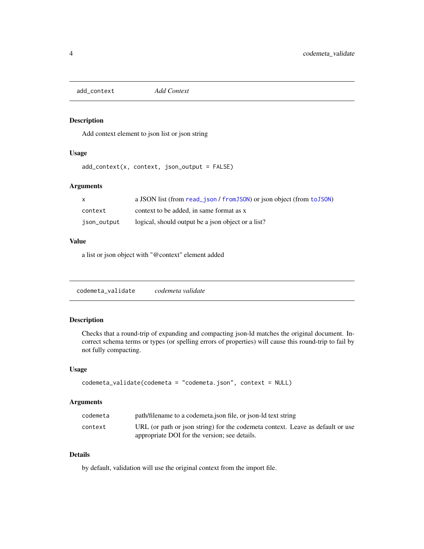<span id="page-3-0"></span>add\_context *Add Context*

#### Description

Add context element to json list or json string

#### Usage

add\_context(x, context, json\_output = FALSE)

#### Arguments

| $\mathbf{x}$ | a JSON list (from read_json / from JSON) or json object (from to JSON) |
|--------------|------------------------------------------------------------------------|
| context      | context to be added, in same format as x                               |
| json_output  | logical, should output be a json object or a list?                     |

#### Value

a list or json object with "@context" element added

codemeta\_validate *codemeta validate*

#### Description

Checks that a round-trip of expanding and compacting json-ld matches the original document. Incorrect schema terms or types (or spelling errors of properties) will cause this round-trip to fail by not fully compacting.

#### Usage

```
codemeta_validate(codemeta = "codemeta.json", context = NULL)
```
#### Arguments

| codemeta | path/filename to a codemeta.json file, or json-ld text string                  |
|----------|--------------------------------------------------------------------------------|
| context  | URL (or path or json string) for the codemeta context. Leave as default or use |
|          | appropriate DOI for the version; see details.                                  |

#### Details

by default, validation will use the original context from the import file.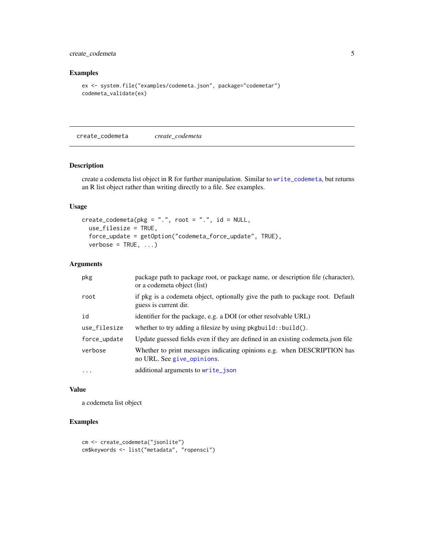#### <span id="page-4-0"></span>create\_codemeta 5

#### Examples

```
ex <- system.file("examples/codemeta.json", package="codemetar")
codemeta_validate(ex)
```
create\_codemeta *create\_codemeta*

#### Description

create a codemeta list object in R for further manipulation. Similar to [write\\_codemeta](#page-8-1), but returns an R list object rather than writing directly to a file. See examples.

#### Usage

```
create\_codemeta(pkg = "."", root = ".", id = NULL,use_filesize = TRUE,
  force_update = getOption("codemeta_force_update", TRUE),
  verbose = TRUE, ...)
```
#### Arguments

| pkg          | package path to package root, or package name, or description file (character),<br>or a codemeta object (list) |
|--------------|----------------------------------------------------------------------------------------------------------------|
| root         | if pkg is a codemeta object, optionally give the path to package root. Default<br>guess is current dir.        |
| id           | identifier for the package, e.g. a DOI (or other resolvable URL)                                               |
| use_filesize | whether to try adding a filesize by using $pkgbuild::build()$ .                                                |
| force_update | Update guessed fields even if they are defined in an existing codemeta.json file                               |
| verbose      | Whether to print messages indicating opinions e.g. when DESCRIPTION has<br>no URL. See give_opinions.          |
| $\cdots$     | additional arguments to write_json                                                                             |

#### Value

a codemeta list object

#### Examples

```
cm <- create_codemeta("jsonlite")
cm$keywords <- list("metadata", "ropensci")
```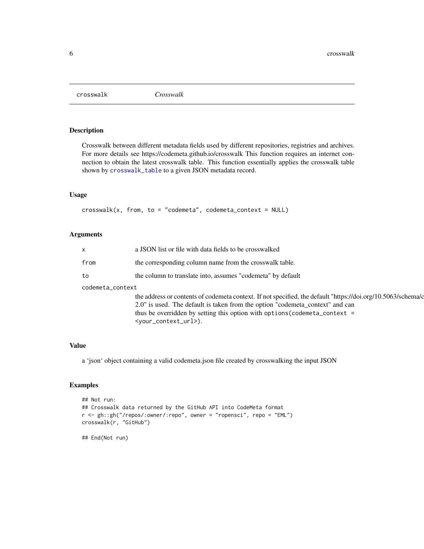<span id="page-5-0"></span>crosswalk *Crosswalk*

#### Description

Crosswalk between different metadata fields used by different repositories, registries and archives. For more details see https://codemeta.github.io/crosswalk This function requires an internet connection to obtain the latest crosswalk table. This function essentially applies the crosswalk table shown by [crosswalk\\_table](#page-6-1) to a given JSON metadata record.

#### Usage

 $crosswalk(x, from, to = "codemeta", codemeta_countext = NULL)$ 

#### Arguments

| $\mathsf{x}$     | a JSON list or file with data fields to be crosswalked                                                       |  |
|------------------|--------------------------------------------------------------------------------------------------------------|--|
| from             | the corresponding column name from the crosswalk table.                                                      |  |
| to               | the column to translate into, assumes "codemeta" by default                                                  |  |
| codemeta_context |                                                                                                              |  |
|                  | the address or contents of codemeta context. If not specified, the default "https://doi.org/10.5063/schema/c |  |
|                  | 2.0" is used. The default is taken from the option "codemeta_context" and can                                |  |
|                  | thus be overridden by setting this option with options (codemeta_context =                                   |  |
|                  | <your_context_url>).</your_context_url>                                                                      |  |

#### Value

a 'json' object containing a valid codemeta.json file created by crosswalking the input JSON

#### Examples

```
## Not run:
## Crosswalk data returned by the GitHub API into CodeMeta format
r <- gh::gh("/repos/:owner/:repo", owner = "ropensci", repo = "EML")
crosswalk(r, "GitHub")
```
## End(Not run)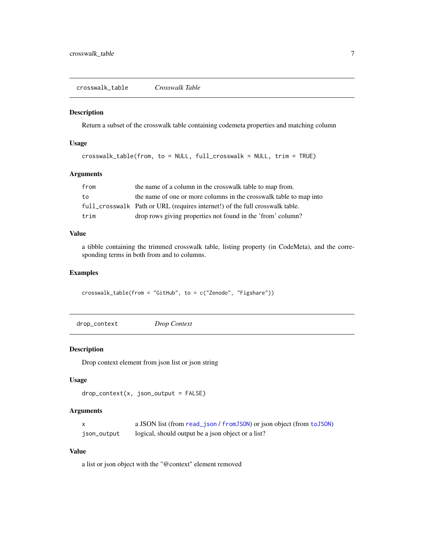<span id="page-6-1"></span><span id="page-6-0"></span>crosswalk\_table *Crosswalk Table*

#### Description

Return a subset of the crosswalk table containing codemeta properties and matching column

#### Usage

```
crosswalk_table(from, to = NULL, full_crosswalk = NULL, trim = TRUE)
```
#### Arguments

| from | the name of a column in the crosswalk table to map from.                     |
|------|------------------------------------------------------------------------------|
| to   | the name of one or more columns in the crosswalk table to map into           |
|      | full_crosswalk Path or URL (requires internet!) of the full crosswalk table. |
| trim | drop rows giving properties not found in the 'from' column?                  |

#### Value

a tibble containing the trimmed crosswalk table, listing property (in CodeMeta), and the corresponding terms in both from and to columns.

#### Examples

crosswalk\_table(from = "GitHub", to = c("Zenodo", "Figshare"))

drop\_context *Drop Context*

#### Description

Drop context element from json list or json string

#### Usage

```
drop\_context(x, json\_output = FALSE)
```
#### Arguments

|             | a JSON list (from read_json / from JSON) or json object (from to JSON) |
|-------------|------------------------------------------------------------------------|
| json_output | logical, should output be a json object or a list?                     |

#### Value

a list or json object with the "@context" element removed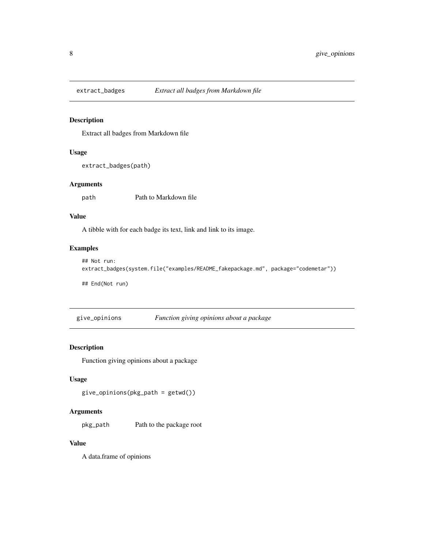<span id="page-7-0"></span>

#### Description

Extract all badges from Markdown file

#### Usage

extract\_badges(path)

#### Arguments

path Path to Markdown file

#### Value

A tibble with for each badge its text, link and link to its image.

#### Examples

```
## Not run:
extract_badges(system.file("examples/README_fakepackage.md", package="codemetar"))
```
## End(Not run)

<span id="page-7-1"></span>give\_opinions *Function giving opinions about a package*

#### Description

Function giving opinions about a package

#### Usage

```
give_opinions(pkg_path = getwd())
```
#### Arguments

pkg\_path Path to the package root

#### Value

A data.frame of opinions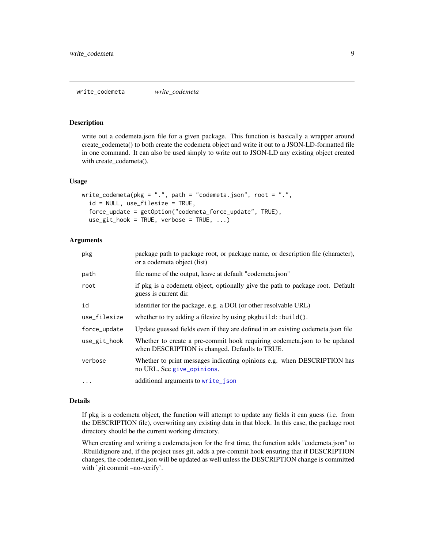#### <span id="page-8-1"></span><span id="page-8-0"></span>Description

write out a codemeta.json file for a given package. This function is basically a wrapper around create\_codemeta() to both create the codemeta object and write it out to a JSON-LD-formatted file in one command. It can also be used simply to write out to JSON-LD any existing object created with create\_codemeta().

#### Usage

```
write_codemeta(pkg = ".", path = "codemeta.json", root = ".",
  id = NULL, use_filesize = TRUE,
  force_update = getOption("codemeta_force_update", TRUE),
  use\_git\_hook = TRUE, verbose = TRUE, ...)
```
#### Arguments

| pkg          | package path to package root, or package name, or description file (character),<br>or a codemeta object (list)              |
|--------------|-----------------------------------------------------------------------------------------------------------------------------|
| path         | file name of the output, leave at default "codemeta.json"                                                                   |
| root         | if pkg is a codemeta object, optionally give the path to package root. Default<br>guess is current dir.                     |
| id           | identifier for the package, e.g. a DOI (or other resolvable URL)                                                            |
| use_filesize | whether to try adding a filesize by using $pkgbuild::build()$ .                                                             |
| force_update | Update guessed fields even if they are defined in an existing codemeta.json file                                            |
| use_git_hook | Whether to create a pre-commit hook requiring codemeta.json to be updated<br>when DESCRIPTION is changed. Defaults to TRUE. |
| verbose      | Whether to print messages indicating opinions e.g. when DESCRIPTION has<br>no URL. See give_opinions.                       |
| $\cdots$     | additional arguments to write_json                                                                                          |

#### Details

If pkg is a codemeta object, the function will attempt to update any fields it can guess (i.e. from the DESCRIPTION file), overwriting any existing data in that block. In this case, the package root directory should be the current working directory.

When creating and writing a codemeta.json for the first time, the function adds "codemeta.json" to .Rbuildignore and, if the project uses git, adds a pre-commit hook ensuring that if DESCRIPTION changes, the codemeta.json will be updated as well unless the DESCRIPTION change is committed with 'git commit –no-verify'.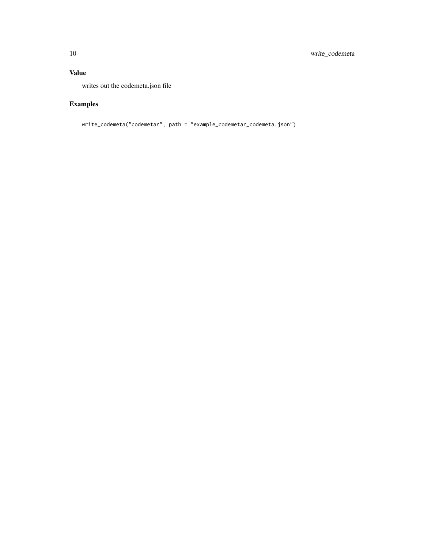#### Value

writes out the codemeta.json file

## Examples

```
write_codemeta("codemetar", path = "example_codemetar_codemeta.json")
```